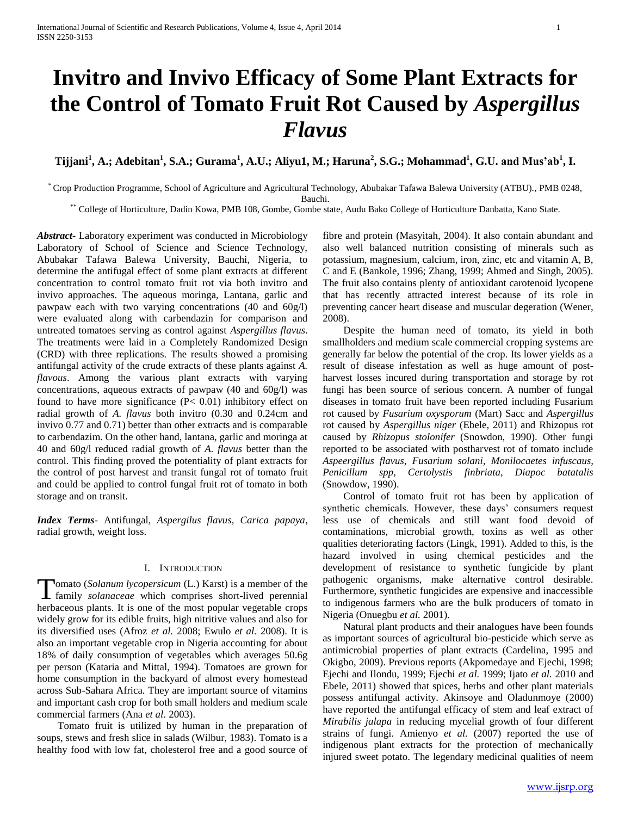# **Invitro and Invivo Efficacy of Some Plant Extracts for the Control of Tomato Fruit Rot Caused by** *Aspergillus Flavus*

## $\bf T$ ijjani $^1$ , A.; Adebitan $^1$ , S.A.; Gurama $^1$ , A.U.; Aliyu1, M.; Haruna $^2$ , S.G.; Mohammad $^1$ , G.U. and Mus'ab $^1$ , I.

\* Crop Production Programme, School of Agriculture and Agricultural Technology, Abubakar Tafawa Balewa University (ATBU)., PMB 0248, Bauchi.

\*\* College of Horticulture, Dadin Kowa, PMB 108, Gombe, Gombe state, Audu Bako College of Horticulture Danbatta, Kano State.

*Abstract***-** Laboratory experiment was conducted in Microbiology Laboratory of School of Science and Science Technology, Abubakar Tafawa Balewa University, Bauchi, Nigeria, to determine the antifugal effect of some plant extracts at different concentration to control tomato fruit rot via both invitro and invivo approaches. The aqueous moringa, Lantana, garlic and pawpaw each with two varying concentrations (40 and 60g/l) were evaluated along with carbendazin for comparison and untreated tomatoes serving as control against *Aspergillus flavus*. The treatments were laid in a Completely Randomized Design (CRD) with three replications. The results showed a promising antifungal activity of the crude extracts of these plants against *A. flavous*. Among the various plant extracts with varying concentrations, aqueous extracts of pawpaw (40 and 60g/l) was found to have more significance (P< 0.01) inhibitory effect on radial growth of *A. flavus* both invitro (0.30 and 0.24cm and invivo 0.77 and 0.71) better than other extracts and is comparable to carbendazim. On the other hand, lantana, garlic and moringa at 40 and 60g/l reduced radial growth of *A. flavus* better than the control. This finding proved the potentiality of plant extracts for the control of post harvest and transit fungal rot of tomato fruit and could be applied to control fungal fruit rot of tomato in both storage and on transit.

*Index Terms*- Antifungal*, Aspergilus flavus, Carica papaya*, radial growth, weight loss.

## I. INTRODUCTION

omato (*Solanum lycopersicum* (L.) Karst) is a member of the **family** *solanaceae* which comprises short-lived perennial family *solanaceae* which comprises short-lived perennial herbaceous plants. It is one of the most popular vegetable crops widely grow for its edible fruits, high nitritive values and also for its diversified uses (Afroz *et al.* 2008; Ewulo *et al.* 2008). It is also an important vegetable crop in Nigeria accounting for about 18% of daily consumption of vegetables which averages 50.6g per person (Kataria and Mittal, 1994). Tomatoes are grown for home consumption in the backyard of almost every homestead across Sub-Sahara Africa. They are important source of vitamins and important cash crop for both small holders and medium scale commercial farmers (Ana *et al.* 2003).

 Tomato fruit is utilized by human in the preparation of soups, stews and fresh slice in salads (Wilbur, 1983). Tomato is a healthy food with low fat, cholesterol free and a good source of fibre and protein (Masyitah, 2004). It also contain abundant and also well balanced nutrition consisting of minerals such as potassium, magnesium, calcium, iron, zinc, etc and vitamin A, B, C and E (Bankole, 1996; Zhang, 1999; Ahmed and Singh, 2005). The fruit also contains plenty of antioxidant carotenoid lycopene that has recently attracted interest because of its role in preventing cancer heart disease and muscular degeration (Wener, 2008).

 Despite the human need of tomato, its yield in both smallholders and medium scale commercial cropping systems are generally far below the potential of the crop. Its lower yields as a result of disease infestation as well as huge amount of postharvest losses incured during transportation and storage by rot fungi has been source of serious concern. A number of fungal diseases in tomato fruit have been reported including Fusarium rot caused by *Fusarium oxysporum* (Mart) Sacc and *Aspergillus* rot caused by *Aspergillus niger* (Ebele, 2011) and Rhizopus rot caused by *Rhizopus stolonifer* (Snowdon, 1990). Other fungi reported to be associated with postharvest rot of tomato include *Aspeergillus flavus*, *Fusarium solani*, *Monilocaetes infuscaus, Penicillum spp, Certolystis finbriata, Diapoc batatalis* (Snowdow, 1990).

 Control of tomato fruit rot has been by application of synthetic chemicals. However, these days' consumers request less use of chemicals and still want food devoid of contaminations, microbial growth, toxins as well as other qualities deteriorating factors (Lingk, 1991). Added to this, is the hazard involved in using chemical pesticides and the development of resistance to synthetic fungicide by plant pathogenic organisms, make alternative control desirable. Furthermore, synthetic fungicides are expensive and inaccessible to indigenous farmers who are the bulk producers of tomato in Nigeria (Onuegbu *et al.* 2001).

 Natural plant products and their analogues have been founds as important sources of agricultural bio-pesticide which serve as antimicrobial properties of plant extracts (Cardelina, 1995 and Okigbo, 2009). Previous reports (Akpomedaye and Ejechi, 1998; Ejechi and Ilondu, 1999; Ejechi *et al.* 1999; Ijato *et al.* 2010 and Ebele, 2011) showed that spices, herbs and other plant materials possess antifungal activity. Akinsoye and Oladunmoye (2000) have reported the antifungal efficacy of stem and leaf extract of *Mirabilis jalapa* in reducing mycelial growth of four different strains of fungi. Amienyo *et al.* (2007) reported the use of indigenous plant extracts for the protection of mechanically injured sweet potato. The legendary medicinal qualities of neem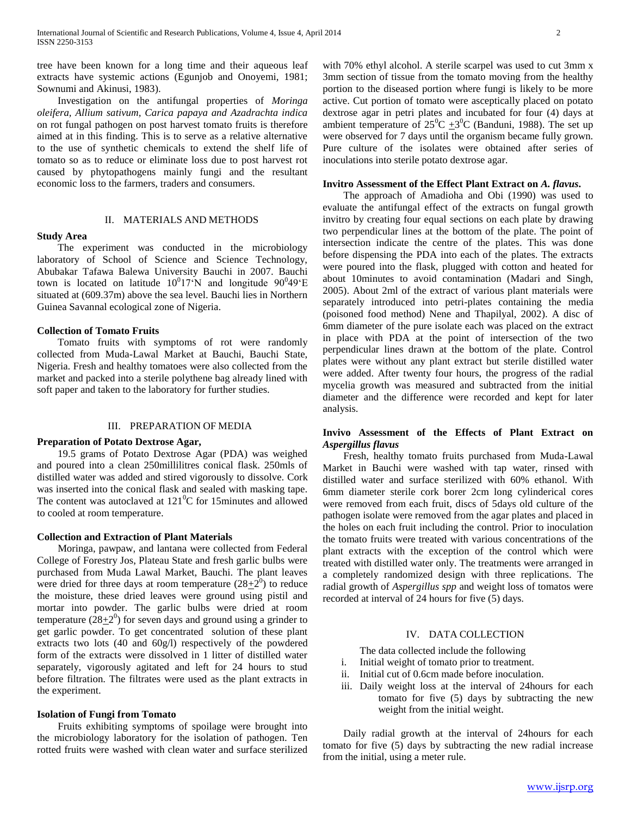tree have been known for a long time and their aqueous leaf extracts have systemic actions (Egunjob and Onoyemi, 1981; Sownumi and Akinusi, 1983).

 Investigation on the antifungal properties of *Moringa oleifera, Allium sativum, Carica papaya and Azadrachta indica* on rot fungal pathogen on post harvest tomato fruits is therefore aimed at in this finding. This is to serve as a relative alternative to the use of synthetic chemicals to extend the shelf life of tomato so as to reduce or eliminate loss due to post harvest rot caused by phytopathogens mainly fungi and the resultant economic loss to the farmers, traders and consumers.

## II. MATERIALS AND METHODS

## **Study Area**

 The experiment was conducted in the microbiology laboratory of School of Science and Science Technology, Abubakar Tafawa Balewa University Bauchi in 2007. Bauchi town is located on latitude  $10^017^{\circ}$ N and longitude  $90^049^{\circ}$ E situated at (609.37m) above the sea level. Bauchi lies in Northern Guinea Savannal ecological zone of Nigeria.

### **Collection of Tomato Fruits**

 Tomato fruits with symptoms of rot were randomly collected from Muda-Lawal Market at Bauchi, Bauchi State, Nigeria. Fresh and healthy tomatoes were also collected from the market and packed into a sterile polythene bag already lined with soft paper and taken to the laboratory for further studies.

#### III. PREPARATION OF MEDIA

## **Preparation of Potato Dextrose Agar,**

 19.5 grams of Potato Dextrose Agar (PDA) was weighed and poured into a clean 250millilitres conical flask. 250mls of distilled water was added and stired vigorously to dissolve. Cork was inserted into the conical flask and sealed with masking tape. The content was autoclaved at  $121^{\circ}$ C for 15minutes and allowed to cooled at room temperature.

## **Collection and Extraction of Plant Materials**

 Moringa, pawpaw, and lantana were collected from Federal College of Forestry Jos, Plateau State and fresh garlic bulbs were purchased from Muda Lawal Market, Bauchi. The plant leaves were dried for three days at room temperature  $(28\pm 2^0)$  to reduce the moisture, these dried leaves were ground using pistil and mortar into powder. The garlic bulbs were dried at room temperature  $(28+2^0)$  for seven days and ground using a grinder to get garlic powder. To get concentrated solution of these plant extracts two lots (40 and 60g/l) respectively of the powdered form of the extracts were dissolved in 1 litter of distilled water separately, vigorously agitated and left for 24 hours to stud before filtration. The filtrates were used as the plant extracts in the experiment.

## **Isolation of Fungi from Tomato**

 Fruits exhibiting symptoms of spoilage were brought into the microbiology laboratory for the isolation of pathogen. Ten rotted fruits were washed with clean water and surface sterilized

with 70% ethyl alcohol. A sterile scarpel was used to cut 3mm x 3mm section of tissue from the tomato moving from the healthy portion to the diseased portion where fungi is likely to be more active. Cut portion of tomato were asceptically placed on potato dextrose agar in petri plates and incubated for four (4) days at ambient temperature of  $25^{\circ}C \pm 3^{\circ}C$  (Banduni, 1988). The set up were observed for 7 days until the organism became fully grown. Pure culture of the isolates were obtained after series of inoculations into sterile potato dextrose agar.

#### **Invitro Assessment of the Effect Plant Extract on** *A. flavus***.**

 The approach of Amadioha and Obi (1990) was used to evaluate the antifungal effect of the extracts on fungal growth invitro by creating four equal sections on each plate by drawing two perpendicular lines at the bottom of the plate. The point of intersection indicate the centre of the plates. This was done before dispensing the PDA into each of the plates. The extracts were poured into the flask, plugged with cotton and heated for about 10minutes to avoid contamination (Madari and Singh, 2005). About 2ml of the extract of various plant materials were separately introduced into petri-plates containing the media (poisoned food method) Nene and Thapilyal, 2002). A disc of 6mm diameter of the pure isolate each was placed on the extract in place with PDA at the point of intersection of the two perpendicular lines drawn at the bottom of the plate. Control plates were without any plant extract but sterile distilled water were added. After twenty four hours, the progress of the radial mycelia growth was measured and subtracted from the initial diameter and the difference were recorded and kept for later analysis.

## **Invivo Assessment of the Effects of Plant Extract on**  *Aspergillus flavus*

 Fresh, healthy tomato fruits purchased from Muda-Lawal Market in Bauchi were washed with tap water, rinsed with distilled water and surface sterilized with 60% ethanol. With 6mm diameter sterile cork borer 2cm long cylinderical cores were removed from each fruit, discs of 5days old culture of the pathogen isolate were removed from the agar plates and placed in the holes on each fruit including the control. Prior to inoculation the tomato fruits were treated with various concentrations of the plant extracts with the exception of the control which were treated with distilled water only. The treatments were arranged in a completely randomized design with three replications. The radial growth of *Aspergillus spp* and weight loss of tomatos were recorded at interval of 24 hours for five (5) days.

## IV. DATA COLLECTION

The data collected include the following

- i. Initial weight of tomato prior to treatment.
- ii. Initial cut of 0.6cm made before inoculation.
- iii. Daily weight loss at the interval of 24hours for each tomato for five (5) days by subtracting the new weight from the initial weight.

 Daily radial growth at the interval of 24hours for each tomato for five (5) days by subtracting the new radial increase from the initial, using a meter rule.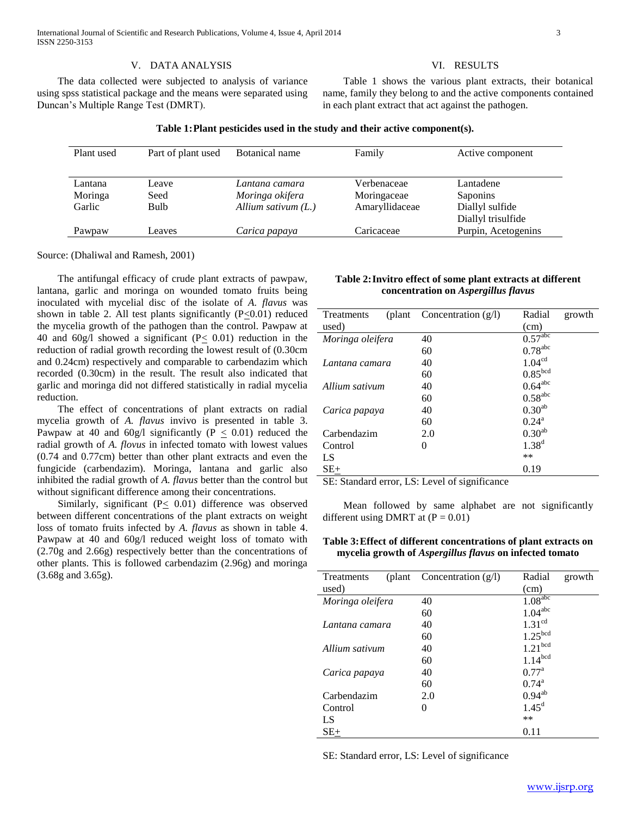## V. DATA ANALYSIS

 The data collected were subjected to analysis of variance using spss statistical package and the means were separated using Duncan's Multiple Range Test (DMRT).

#### VI. RESULTS

 Table 1 shows the various plant extracts, their botanical name, family they belong to and the active components contained in each plant extract that act against the pathogen.

## **Table 1:Plant pesticides used in the study and their active component(s).**

| Plant used | Part of plant used | Botanical name       | Family         | Active component    |
|------------|--------------------|----------------------|----------------|---------------------|
|            |                    |                      |                |                     |
| Lantana    | Leave              | Lantana camara       | Verbenaceae    | Lantadene           |
| Moringa    | Seed               | Moringa okifera      | Moringaceae    | Saponins            |
| Garlic     | <b>Bulb</b>        | Allium sativum $(L)$ | Amaryllidaceae | Diallyl sulfide     |
|            |                    |                      |                | Diallyl trisulfide  |
| Pawpaw     | Leaves             | Carica papaya        | Caricaceae     | Purpin, Acetogenins |

Source: (Dhaliwal and Ramesh, 2001)

 The antifungal efficacy of crude plant extracts of pawpaw, lantana, garlic and moringa on wounded tomato fruits being inoculated with mycelial disc of the isolate of *A. flavus* was shown in table 2. All test plants significantly  $(P<0.01)$  reduced the mycelia growth of the pathogen than the control. Pawpaw at 40 and 60g/l showed a significant ( $P \leq 0.01$ ) reduction in the reduction of radial growth recording the lowest result of (0.30cm and 0.24cm) respectively and comparable to carbendazim which recorded (0.30cm) in the result. The result also indicated that garlic and moringa did not differed statistically in radial mycelia reduction.

 The effect of concentrations of plant extracts on radial mycelia growth of *A. flavus* invivo is presented in table 3. Pawpaw at 40 and 60g/l significantly (P  $\leq$  0.01) reduced the radial growth of *A. flovus* in infected tomato with lowest values (0.74 and 0.77cm) better than other plant extracts and even the fungicide (carbendazim). Moringa, lantana and garlic also inhibited the radial growth of *A. flavus* better than the control but without significant difference among their concentrations.

Similarly, significant ( $P \leq 0.01$ ) difference was observed between different concentrations of the plant extracts on weight loss of tomato fruits infected by *A. flavus* as shown in table 4. Pawpaw at 40 and 60g/l reduced weight loss of tomato with (2.70g and 2.66g) respectively better than the concentrations of other plants. This is followed carbendazim (2.96g) and moringa (3.68g and 3.65g).

**Table 2:Invitro effect of some plant extracts at different concentration on** *Aspergillus flavus*

| Treatments       | (plant Concentration $(g/l)$ )          | Radial                  | growth |
|------------------|-----------------------------------------|-------------------------|--------|
| used)            |                                         | (cm)                    |        |
| Moringa oleifera | 40                                      | $0.57^{\overline{abc}}$ |        |
|                  | 60                                      | $0.78$ <sup>abc</sup>   |        |
| Lantana camara   | 40                                      | 1.04 <sup>cd</sup>      |        |
|                  | 60                                      | 0.85 <sup>bcd</sup>     |        |
| Allium sativum   | 40                                      | $0.64$ <sup>abc</sup>   |        |
|                  | 60                                      | $0.58$ <sup>abc</sup>   |        |
| Carica papaya    | 40                                      | 0.30 <sup>ab</sup>      |        |
|                  | 60                                      | $0.24^{\rm a}$          |        |
| Carbendazim      | 2.0                                     | 0.30 <sup>ab</sup>      |        |
| Control          | 0                                       | $1.38^{d}$              |        |
| LS               |                                         | $**$                    |        |
| $SE+$            | $\sim$ $\sim$ $\sim$<br>- - -<br>$\sim$ | 0.19                    |        |

SE: Standard error, LS: Level of significance

 Mean followed by same alphabet are not significantly different using DMRT at  $(P = 0.01)$ 

| Table 3: Effect of different concentrations of plant extracts on |
|------------------------------------------------------------------|
| mycelia growth of Aspergillus flavus on infected tomato          |

| Treatments<br>(plant) | Concentration $(g/l)$ | Radial<br>growth      |
|-----------------------|-----------------------|-----------------------|
| used)                 |                       | (cm)                  |
| Moringa oleifera      | 40                    | 1.08 <sup>abc</sup>   |
|                       | 60                    | $1.04$ <sup>abc</sup> |
| Lantana camara        | 40                    | 1.31 <sup>cd</sup>    |
|                       | 60                    | 1.25 <sup>bcd</sup>   |
| Allium sativum        | 40                    | 1.21 <sup>bcd</sup>   |
|                       | 60                    | 1.14 <sup>bcd</sup>   |
| Carica papaya         | 40                    | $0.77^{\rm a}$        |
|                       | 60                    | $0.74^{\rm a}$        |
| Carbendazim           | 2.0                   | $0.94^{ab}$           |
| Control               | 0                     | $1.45^{\rm d}$        |
| LS                    |                       | **                    |
| $SE+$                 |                       | 0.11                  |

SE: Standard error, LS: Level of significance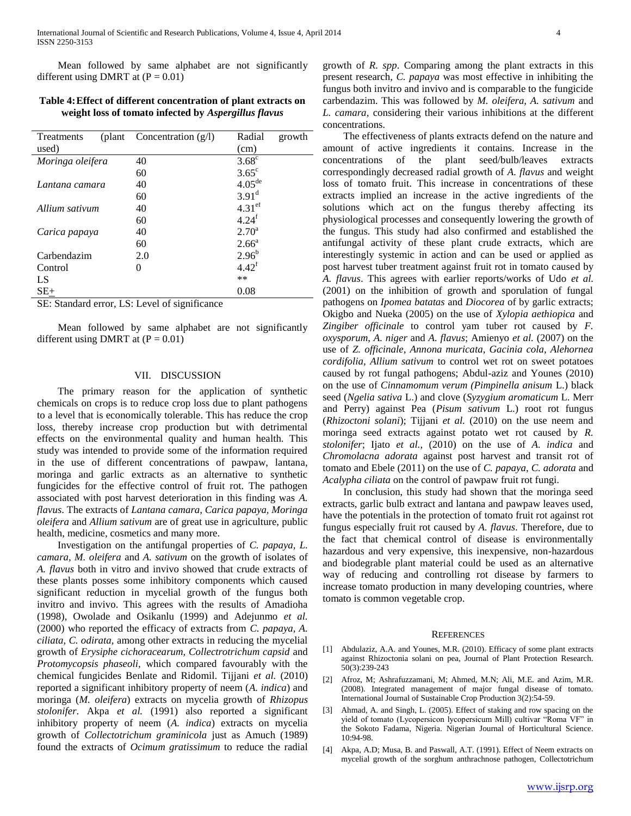Mean followed by same alphabet are not significantly different using DMRT at  $(P = 0.01)$ 

## **Table 4:Effect of different concentration of plant extracts on weight loss of tomato infected by** *Aspergillus flavus*

| Treatments<br>(plant) | Concentration $(g/l)$ | Radial<br>growth     |  |
|-----------------------|-----------------------|----------------------|--|
| used)                 |                       | (cm)                 |  |
| Moringa oleifera      | 40                    | $3.68^{\circ}$       |  |
|                       | 60                    | $3.65^{\circ}$       |  |
| Lantana camara        | 40                    | $4.05^{\text{de}}$   |  |
|                       | 60                    | $3.91^d$             |  |
| Allium sativum        | 40                    | $4.31$ <sup>ef</sup> |  |
|                       | 60                    | $4.24^{f}$           |  |
| Carica papaya         | 40                    | $2.70^{\circ}$       |  |
|                       | 60                    | $2.66^{\circ}$       |  |
| Carbendazim           | 2.0                   | $2.96^{b}$           |  |
| Control               | $\Omega$              | $4.42^{\rm f}$       |  |
| LS                    |                       | **                   |  |
| $SE+$                 |                       | 0.08                 |  |

SE: Standard error, LS: Level of significance

 Mean followed by same alphabet are not significantly different using DMRT at  $(P = 0.01)$ 

## VII. DISCUSSION

 The primary reason for the application of synthetic chemicals on crops is to reduce crop loss due to plant pathogens to a level that is economically tolerable. This has reduce the crop loss, thereby increase crop production but with detrimental effects on the environmental quality and human health. This study was intended to provide some of the information required in the use of different concentrations of pawpaw, lantana, moringa and garlic extracts as an alternative to synthetic fungicides for the effective control of fruit rot. The pathogen associated with post harvest deterioration in this finding was *A. flavus*. The extracts of *Lantana camara, Carica papaya, Moringa oleifera* and *Allium sativum* are of great use in agriculture, public health, medicine, cosmetics and many more.

 Investigation on the antifungal properties of *C. papaya, L. camara, M. oleifera* and *A. sativum* on the growth of isolates of *A. flavus* both in vitro and invivo showed that crude extracts of these plants posses some inhibitory components which caused significant reduction in mycelial growth of the fungus both invitro and invivo. This agrees with the results of Amadioha (1998), Owolade and Osikanlu (1999) and Adejunmo *et al.* (2000) who reported the efficacy of extracts from *C. papaya, A. ciliata, C. odirata,* among other extracts in reducing the mycelial growth of *Erysiphe cichoracearum, Collectrotrichum capsid* and *Protomycopsis phaseoli,* which compared favourably with the chemical fungicides Benlate and Ridomil. Tijjani *et al.* (2010) reported a significant inhibitory property of neem (*A. indica*) and moringa (*M. oleifera*) extracts on mycelia growth of *Rhizopus stolonifer*. Akpa *et al.* (1991) also reported a significant inhibitory property of neem (*A. indica*) extracts on mycelia growth of *Collectotrichum graminicola* just as Amuch (1989) found the extracts of *Ocimum gratissimum* to reduce the radial

growth of *R. spp*. Comparing among the plant extracts in this present research, *C. papaya* was most effective in inhibiting the fungus both invitro and invivo and is comparable to the fungicide carbendazim. This was followed by *M. oleifera, A. sativum* and *L. camara*, considering their various inhibitions at the different concentrations.

 The effectiveness of plants extracts defend on the nature and amount of active ingredients it contains. Increase in the concentrations of the plant seed/bulb/leaves extracts correspondingly decreased radial growth of *A. flavus* and weight loss of tomato fruit. This increase in concentrations of these extracts implied an increase in the active ingredients of the solutions which act on the fungus thereby affecting its physiological processes and consequently lowering the growth of the fungus. This study had also confirmed and established the antifungal activity of these plant crude extracts, which are interestingly systemic in action and can be used or applied as post harvest tuber treatment against fruit rot in tomato caused by *A. flavus*. This agrees with earlier reports/works of Udo *et al.* (2001) on the inhibition of growth and sporulation of fungal pathogens on *Ipomea batatas* and *Diocorea* of by garlic extracts; Okigbo and Nueka (2005) on the use of *Xylopia aethiopica* and *Zingiber officinale* to control yam tuber rot caused by *F. oxysporum*, *A. niger* and *A. flavus*; Amienyo *et al.* (2007) on the use of *Z. officinale, Annona muricata, Gacinia cola, Alehornea cordifolia, Allium sativum* to control wet rot on sweet potatoes caused by rot fungal pathogens; Abdul-aziz and Younes (2010) on the use of *Cinnamomum verum (Pimpinella anisum* L.) black seed (*Ngelia sativa* L.) and clove (*Syzygium aromaticum* L. Merr and Perry) against Pea (*Pisum sativum* L.) root rot fungus (*Rhizoctoni solani*); Tijjani *et al.* (2010) on the use neem and moringa seed extracts against potato wet rot caused by *R. stolonifer*; Ijato *et al.,* (2010) on the use of *A. indica* and *Chromolacna adorata* against post harvest and transit rot of tomato and Ebele (2011) on the use of *C. papaya*, *C. adorata* and *Acalypha ciliata* on the control of pawpaw fruit rot fungi.

 In conclusion, this study had shown that the moringa seed extracts, garlic bulb extract and lantana and pawpaw leaves used, have the potentials in the protection of tomato fruit rot against rot fungus especially fruit rot caused by *A. flavus*. Therefore, due to the fact that chemical control of disease is environmentally hazardous and very expensive, this inexpensive, non-hazardous and biodegrable plant material could be used as an alternative way of reducing and controlling rot disease by farmers to increase tomato production in many developing countries, where tomato is common vegetable crop.

#### **REFERENCES**

- [1] Abdulaziz, A.A. and Younes, M.R. (2010). Efficacy of some plant extracts against Rhizoctonia solani on pea, Journal of Plant Protection Research. 50(3):239-243
- [2] Afroz, M; Ashrafuzzamani, M; Ahmed, M.N; Ali, M.E. and Azim, M.R. (2008). Integrated management of major fungal disease of tomato. International Journal of Sustainable Crop Production 3(2):54-59.
- [3] Ahmad, A. and Singh, L. (2005). Effect of staking and row spacing on the yield of tomato (Lycopersicon lycopersicum Mill) cultivar "Roma VF" in the Sokoto Fadama, Nigeria. Nigerian Journal of Horticultural Science. 10:94-98.
- [4] Akpa, A.D; Musa, B. and Paswall, A.T. (1991). Effect of Neem extracts on mycelial growth of the sorghum anthrachnose pathogen, Collectotrichum